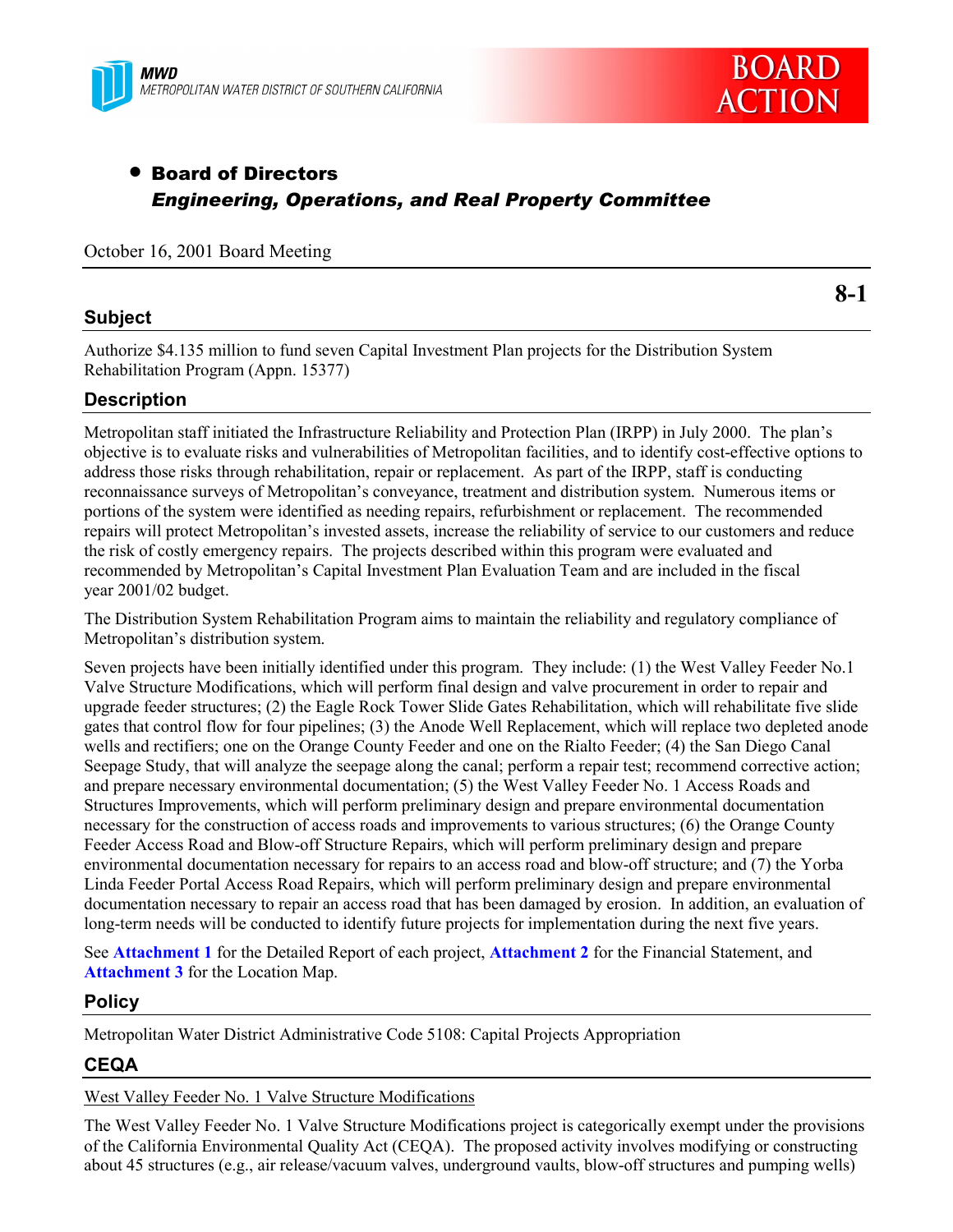



# • Board of Directors *Engineering, Operations, and Real Property Committee*

October 16, 2001 Board Meeting

# **Subject**

**8-1**

Authorize \$4.135 million to fund seven Capital Investment Plan projects for the Distribution System Rehabilitation Program (Appn. 15377)

# **Description**

Metropolitan staff initiated the Infrastructure Reliability and Protection Plan (IRPP) in July 2000. The planís objective is to evaluate risks and vulnerabilities of Metropolitan facilities, and to identify cost-effective options to address those risks through rehabilitation, repair or replacement. As part of the IRPP, staff is conducting reconnaissance surveys of Metropolitan's conveyance, treatment and distribution system. Numerous items or portions of the system were identified as needing repairs, refurbishment or replacement. The recommended repairs will protect Metropolitan's invested assets, increase the reliability of service to our customers and reduce the risk of costly emergency repairs. The projects described within this program were evaluated and recommended by Metropolitanís Capital Investment Plan Evaluation Team and are included in the fiscal year 2001/02 budget.

The Distribution System Rehabilitation Program aims to maintain the reliability and regulatory compliance of Metropolitan's distribution system.

Seven projects have been initially identified under this program. They include: (1) the West Valley Feeder No.1 Valve Structure Modifications, which will perform final design and valve procurement in order to repair and upgrade feeder structures; (2) the Eagle Rock Tower Slide Gates Rehabilitation, which will rehabilitate five slide gates that control flow for four pipelines; (3) the Anode Well Replacement, which will replace two depleted anode wells and rectifiers; one on the Orange County Feeder and one on the Rialto Feeder; (4) the San Diego Canal Seepage Study, that will analyze the seepage along the canal; perform a repair test; recommend corrective action; and prepare necessary environmental documentation; (5) the West Valley Feeder No. 1 Access Roads and Structures Improvements, which will perform preliminary design and prepare environmental documentation necessary for the construction of access roads and improvements to various structures; (6) the Orange County Feeder Access Road and Blow-off Structure Repairs, which will perform preliminary design and prepare environmental documentation necessary for repairs to an access road and blow-off structure; and (7) the Yorba Linda Feeder Portal Access Road Repairs, which will perform preliminary design and prepare environmental documentation necessary to repair an access road that has been damaged by erosion. In addition, an evaluation of long-term needs will be conducted to identify future projects for implementation during the next five years.

See **Attachment 1** for the Detailed Report of each project, **Attachment 2** for the Financial Statement, and **Attachment 3** for the Location Map.

# **Policy**

Metropolitan Water District Administrative Code 5108: Capital Projects Appropriation

# **CEQA**

West Valley Feeder No. 1 Valve Structure Modifications

The West Valley Feeder No. 1 Valve Structure Modifications project is categorically exempt under the provisions of the California Environmental Quality Act (CEQA). The proposed activity involves modifying or constructing about 45 structures (e.g., air release/vacuum valves, underground vaults, blow-off structures and pumping wells)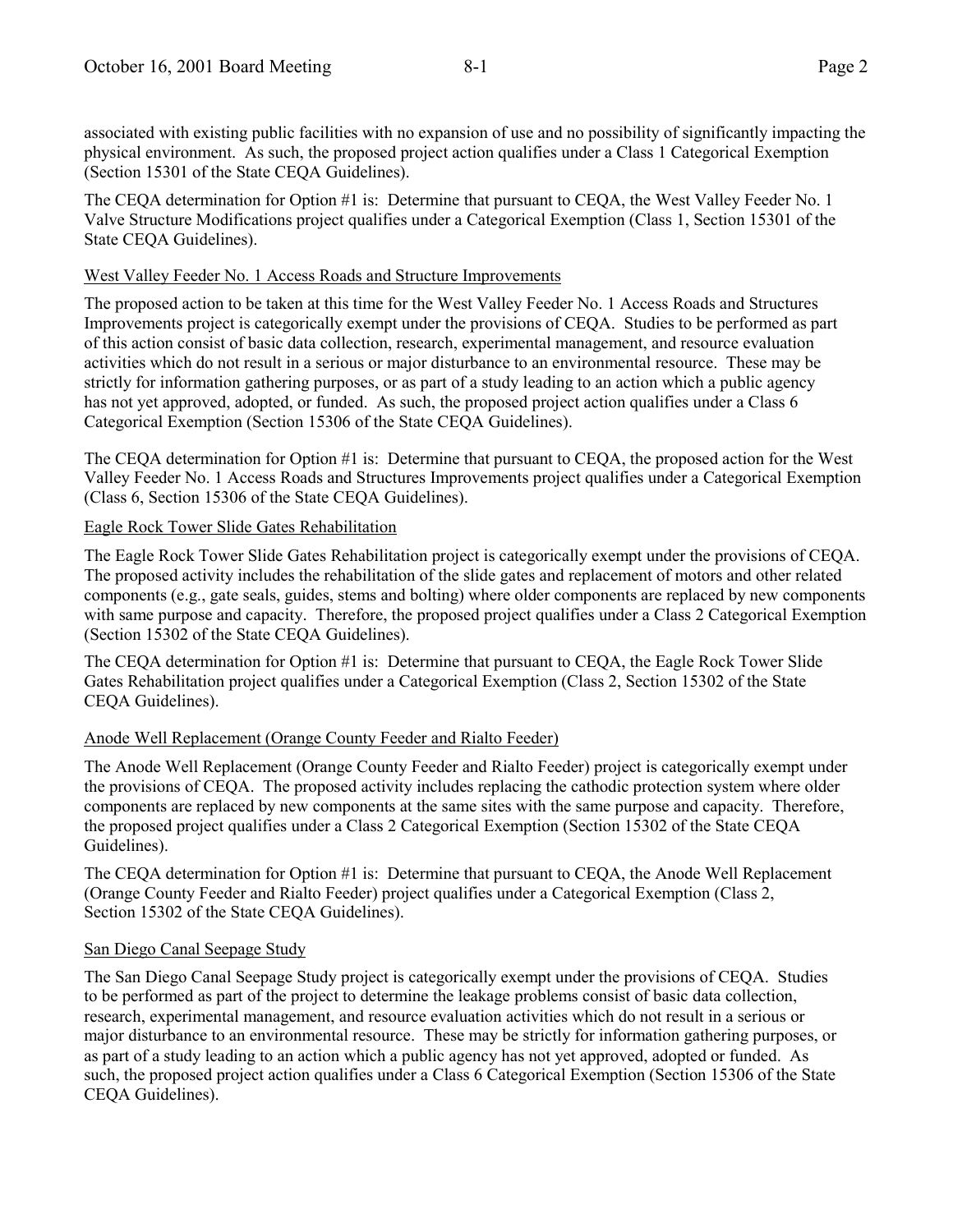associated with existing public facilities with no expansion of use and no possibility of significantly impacting the physical environment. As such, the proposed project action qualifies under a Class 1 Categorical Exemption (Section 15301 of the State CEQA Guidelines).

The CEQA determination for Option #1 is: Determine that pursuant to CEQA, the West Valley Feeder No. 1 Valve Structure Modifications project qualifies under a Categorical Exemption (Class 1, Section 15301 of the State CEQA Guidelines).

## West Valley Feeder No. 1 Access Roads and Structure Improvements

The proposed action to be taken at this time for the West Valley Feeder No. 1 Access Roads and Structures Improvements project is categorically exempt under the provisions of CEQA. Studies to be performed as part of this action consist of basic data collection, research, experimental management, and resource evaluation activities which do not result in a serious or major disturbance to an environmental resource. These may be strictly for information gathering purposes, or as part of a study leading to an action which a public agency has not yet approved, adopted, or funded. As such, the proposed project action qualifies under a Class 6 Categorical Exemption (Section 15306 of the State CEQA Guidelines).

The CEQA determination for Option #1 is: Determine that pursuant to CEQA, the proposed action for the West Valley Feeder No. 1 Access Roads and Structures Improvements project qualifies under a Categorical Exemption (Class 6, Section 15306 of the State CEQA Guidelines).

# Eagle Rock Tower Slide Gates Rehabilitation

The Eagle Rock Tower Slide Gates Rehabilitation project is categorically exempt under the provisions of CEQA. The proposed activity includes the rehabilitation of the slide gates and replacement of motors and other related components (e.g., gate seals, guides, stems and bolting) where older components are replaced by new components with same purpose and capacity. Therefore, the proposed project qualifies under a Class 2 Categorical Exemption (Section 15302 of the State CEQA Guidelines).

The CEQA determination for Option #1 is: Determine that pursuant to CEQA, the Eagle Rock Tower Slide Gates Rehabilitation project qualifies under a Categorical Exemption (Class 2, Section 15302 of the State CEQA Guidelines).

# Anode Well Replacement (Orange County Feeder and Rialto Feeder)

The Anode Well Replacement (Orange County Feeder and Rialto Feeder) project is categorically exempt under the provisions of CEQA. The proposed activity includes replacing the cathodic protection system where older components are replaced by new components at the same sites with the same purpose and capacity. Therefore, the proposed project qualifies under a Class 2 Categorical Exemption (Section 15302 of the State CEQA Guidelines).

The CEQA determination for Option #1 is: Determine that pursuant to CEQA, the Anode Well Replacement (Orange County Feeder and Rialto Feeder) project qualifies under a Categorical Exemption (Class 2, Section 15302 of the State CEQA Guidelines).

# San Diego Canal Seepage Study

The San Diego Canal Seepage Study project is categorically exempt under the provisions of CEQA. Studies to be performed as part of the project to determine the leakage problems consist of basic data collection, research, experimental management, and resource evaluation activities which do not result in a serious or major disturbance to an environmental resource. These may be strictly for information gathering purposes, or as part of a study leading to an action which a public agency has not yet approved, adopted or funded. As such, the proposed project action qualifies under a Class 6 Categorical Exemption (Section 15306 of the State CEQA Guidelines).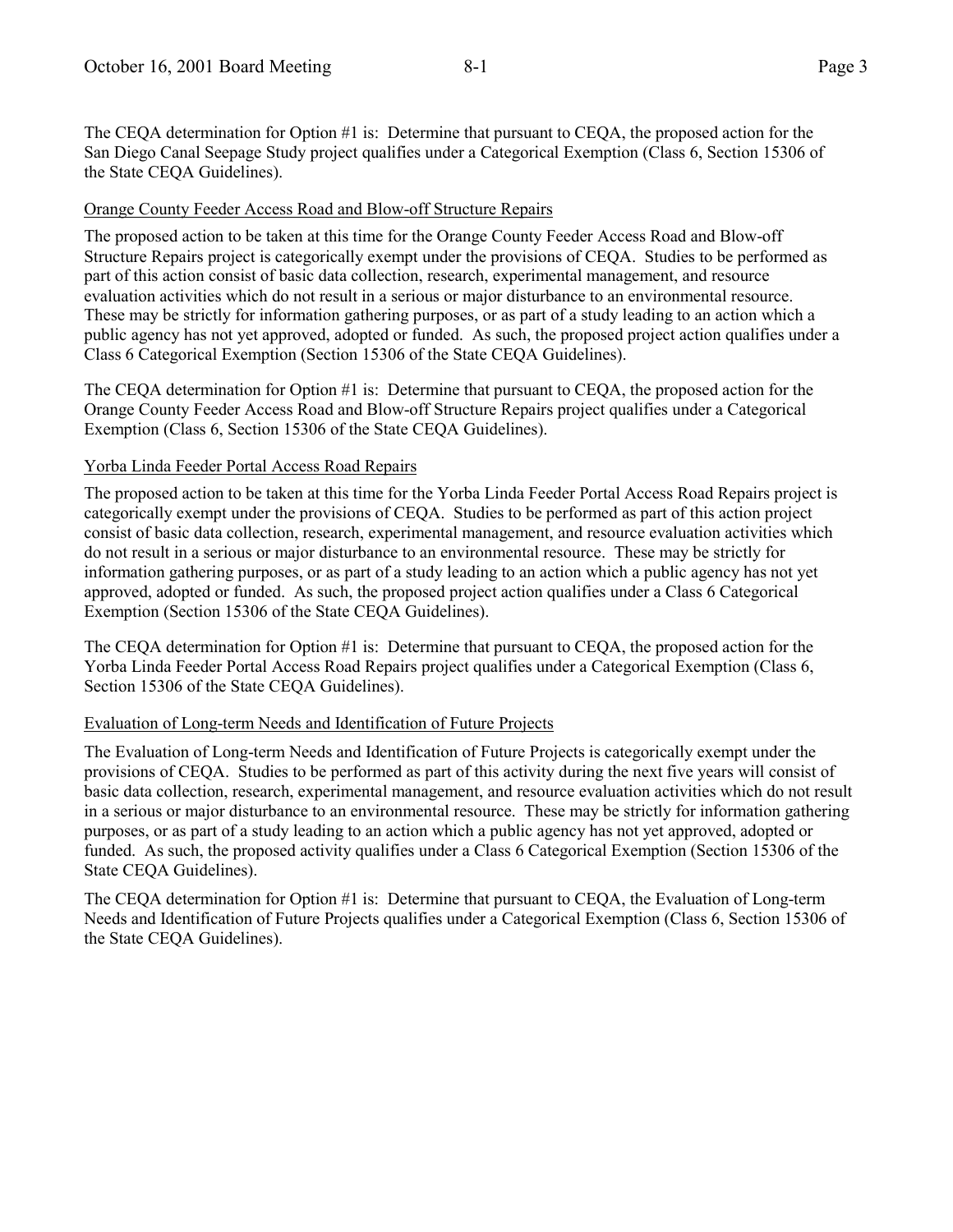The CEQA determination for Option #1 is: Determine that pursuant to CEQA, the proposed action for the San Diego Canal Seepage Study project qualifies under a Categorical Exemption (Class 6, Section 15306 of the State CEQA Guidelines).

### Orange County Feeder Access Road and Blow-off Structure Repairs

The proposed action to be taken at this time for the Orange County Feeder Access Road and Blow-off Structure Repairs project is categorically exempt under the provisions of CEQA. Studies to be performed as part of this action consist of basic data collection, research, experimental management, and resource evaluation activities which do not result in a serious or major disturbance to an environmental resource. These may be strictly for information gathering purposes, or as part of a study leading to an action which a public agency has not yet approved, adopted or funded. As such, the proposed project action qualifies under a Class 6 Categorical Exemption (Section 15306 of the State CEQA Guidelines).

The CEQA determination for Option #1 is: Determine that pursuant to CEQA, the proposed action for the Orange County Feeder Access Road and Blow-off Structure Repairs project qualifies under a Categorical Exemption (Class 6, Section 15306 of the State CEQA Guidelines).

### Yorba Linda Feeder Portal Access Road Repairs

The proposed action to be taken at this time for the Yorba Linda Feeder Portal Access Road Repairs project is categorically exempt under the provisions of CEQA. Studies to be performed as part of this action project consist of basic data collection, research, experimental management, and resource evaluation activities which do not result in a serious or major disturbance to an environmental resource. These may be strictly for information gathering purposes, or as part of a study leading to an action which a public agency has not yet approved, adopted or funded. As such, the proposed project action qualifies under a Class 6 Categorical Exemption (Section 15306 of the State CEQA Guidelines).

The CEQA determination for Option #1 is: Determine that pursuant to CEQA, the proposed action for the Yorba Linda Feeder Portal Access Road Repairs project qualifies under a Categorical Exemption (Class 6, Section 15306 of the State CEQA Guidelines).

#### Evaluation of Long-term Needs and Identification of Future Projects

The Evaluation of Long-term Needs and Identification of Future Projects is categorically exempt under the provisions of CEQA. Studies to be performed as part of this activity during the next five years will consist of basic data collection, research, experimental management, and resource evaluation activities which do not result in a serious or major disturbance to an environmental resource. These may be strictly for information gathering purposes, or as part of a study leading to an action which a public agency has not yet approved, adopted or funded. As such, the proposed activity qualifies under a Class 6 Categorical Exemption (Section 15306 of the State CEQA Guidelines).

The CEQA determination for Option #1 is: Determine that pursuant to CEQA, the Evaluation of Long-term Needs and Identification of Future Projects qualifies under a Categorical Exemption (Class 6, Section 15306 of the State CEQA Guidelines).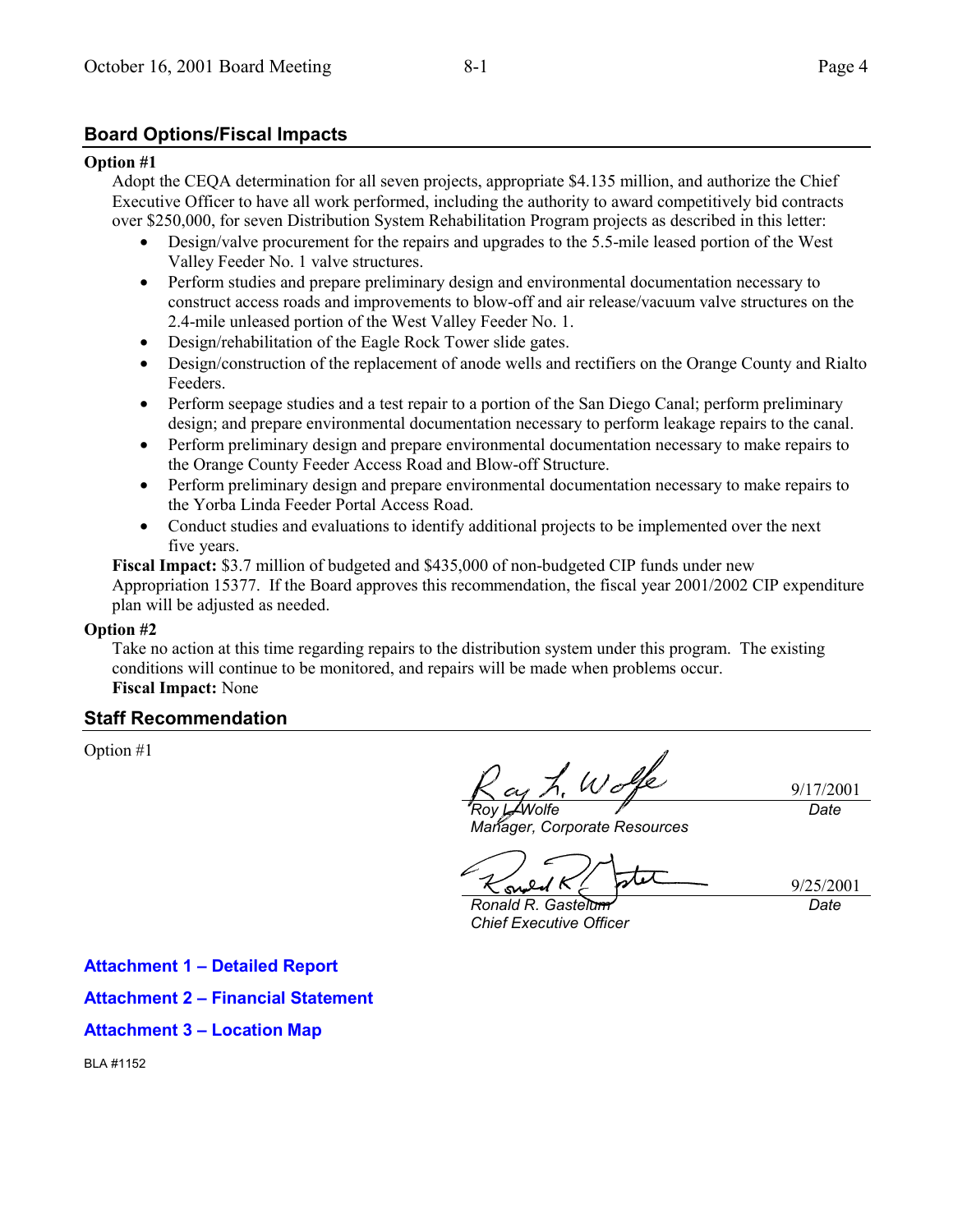# **Board Options/Fiscal Impacts**

#### **Option #1**

Adopt the CEQA determination for all seven projects, appropriate \$4.135 million, and authorize the Chief Executive Officer to have all work performed, including the authority to award competitively bid contracts over \$250,000, for seven Distribution System Rehabilitation Program projects as described in this letter:

- Design/valve procurement for the repairs and upgrades to the 5.5-mile leased portion of the West Valley Feeder No. 1 valve structures.
- Perform studies and prepare preliminary design and environmental documentation necessary to construct access roads and improvements to blow-off and air release/vacuum valve structures on the 2.4-mile unleased portion of the West Valley Feeder No. 1.
- Design/rehabilitation of the Eagle Rock Tower slide gates.
- Design/construction of the replacement of anode wells and rectifiers on the Orange County and Rialto Feeders.
- Perform seepage studies and a test repair to a portion of the San Diego Canal; perform preliminary design; and prepare environmental documentation necessary to perform leakage repairs to the canal.
- Perform preliminary design and prepare environmental documentation necessary to make repairs to the Orange County Feeder Access Road and Blow-off Structure.
- Perform preliminary design and prepare environmental documentation necessary to make repairs to the Yorba Linda Feeder Portal Access Road.
- Conduct studies and evaluations to identify additional projects to be implemented over the next five years.

**Fiscal Impact:** \$3.7 million of budgeted and \$435,000 of non-budgeted CIP funds under new Appropriation 15377. If the Board approves this recommendation, the fiscal year 2001/2002 CIP expenditure plan will be adjusted as needed.

#### **Option #2**

Take no action at this time regarding repairs to the distribution system under this program. The existing conditions will continue to be monitored, and repairs will be made when problems occur. **Fiscal Impact:** None

# **Staff Recommendation**

Option #1

9/17/2001 *Roy L. Wolfe*

*Date*

*Manager, Corporate Resources*

9/25/2001 *Date*

*Ronald R. Gastelum Chief Executive Officer*

**Attachment 1 - Detailed Report** 

**Attachment 2 - Financial Statement** 

**Attachment 3 – Location Map** 

BLA #1152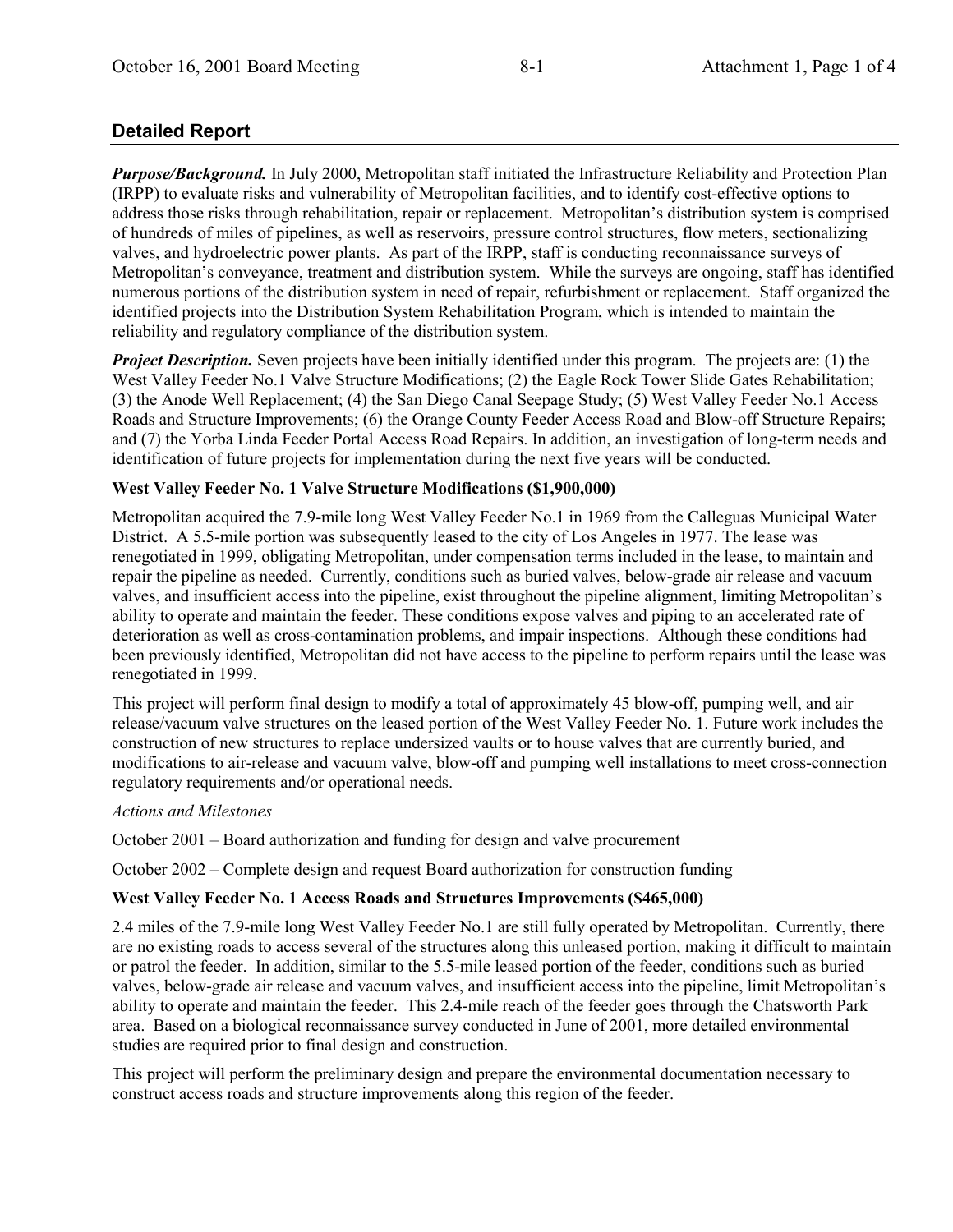# **Detailed Report**

*Purpose/Background.* In July 2000, Metropolitan staff initiated the Infrastructure Reliability and Protection Plan (IRPP) to evaluate risks and vulnerability of Metropolitan facilities, and to identify cost-effective options to address those risks through rehabilitation, repair or replacement. Metropolitan's distribution system is comprised of hundreds of miles of pipelines, as well as reservoirs, pressure control structures, flow meters, sectionalizing valves, and hydroelectric power plants. As part of the IRPP, staff is conducting reconnaissance surveys of Metropolitan's conveyance, treatment and distribution system. While the surveys are ongoing, staff has identified numerous portions of the distribution system in need of repair, refurbishment or replacement. Staff organized the identified projects into the Distribution System Rehabilitation Program, which is intended to maintain the reliability and regulatory compliance of the distribution system.

*Project Description.* Seven projects have been initially identified under this program. The projects are: (1) the West Valley Feeder No.1 Valve Structure Modifications; (2) the Eagle Rock Tower Slide Gates Rehabilitation; (3) the Anode Well Replacement; (4) the San Diego Canal Seepage Study; (5) West Valley Feeder No.1 Access Roads and Structure Improvements; (6) the Orange County Feeder Access Road and Blow-off Structure Repairs; and (7) the Yorba Linda Feeder Portal Access Road Repairs. In addition, an investigation of long-term needs and identification of future projects for implementation during the next five years will be conducted.

# **West Valley Feeder No. 1 Valve Structure Modifications (\$1,900,000)**

Metropolitan acquired the 7.9-mile long West Valley Feeder No.1 in 1969 from the Calleguas Municipal Water District. A 5.5-mile portion was subsequently leased to the city of Los Angeles in 1977. The lease was renegotiated in 1999, obligating Metropolitan, under compensation terms included in the lease, to maintain and repair the pipeline as needed. Currently, conditions such as buried valves, below-grade air release and vacuum valves, and insufficient access into the pipeline, exist throughout the pipeline alignment, limiting Metropolitanís ability to operate and maintain the feeder. These conditions expose valves and piping to an accelerated rate of deterioration as well as cross-contamination problems, and impair inspections. Although these conditions had been previously identified, Metropolitan did not have access to the pipeline to perform repairs until the lease was renegotiated in 1999.

This project will perform final design to modify a total of approximately 45 blow-off, pumping well, and air release/vacuum valve structures on the leased portion of the West Valley Feeder No. 1. Future work includes the construction of new structures to replace undersized vaults or to house valves that are currently buried, and modifications to air-release and vacuum valve, blow-off and pumping well installations to meet cross-connection regulatory requirements and/or operational needs.

#### *Actions and Milestones*

October  $2001$  – Board authorization and funding for design and valve procurement

October  $2002$  – Complete design and request Board authorization for construction funding

# **West Valley Feeder No. 1 Access Roads and Structures Improvements (\$465,000)**

2.4 miles of the 7.9-mile long West Valley Feeder No.1 are still fully operated by Metropolitan. Currently, there are no existing roads to access several of the structures along this unleased portion, making it difficult to maintain or patrol the feeder. In addition, similar to the 5.5-mile leased portion of the feeder, conditions such as buried valves, below-grade air release and vacuum valves, and insufficient access into the pipeline, limit Metropolitanís ability to operate and maintain the feeder. This 2.4-mile reach of the feeder goes through the Chatsworth Park area. Based on a biological reconnaissance survey conducted in June of 2001, more detailed environmental studies are required prior to final design and construction.

This project will perform the preliminary design and prepare the environmental documentation necessary to construct access roads and structure improvements along this region of the feeder.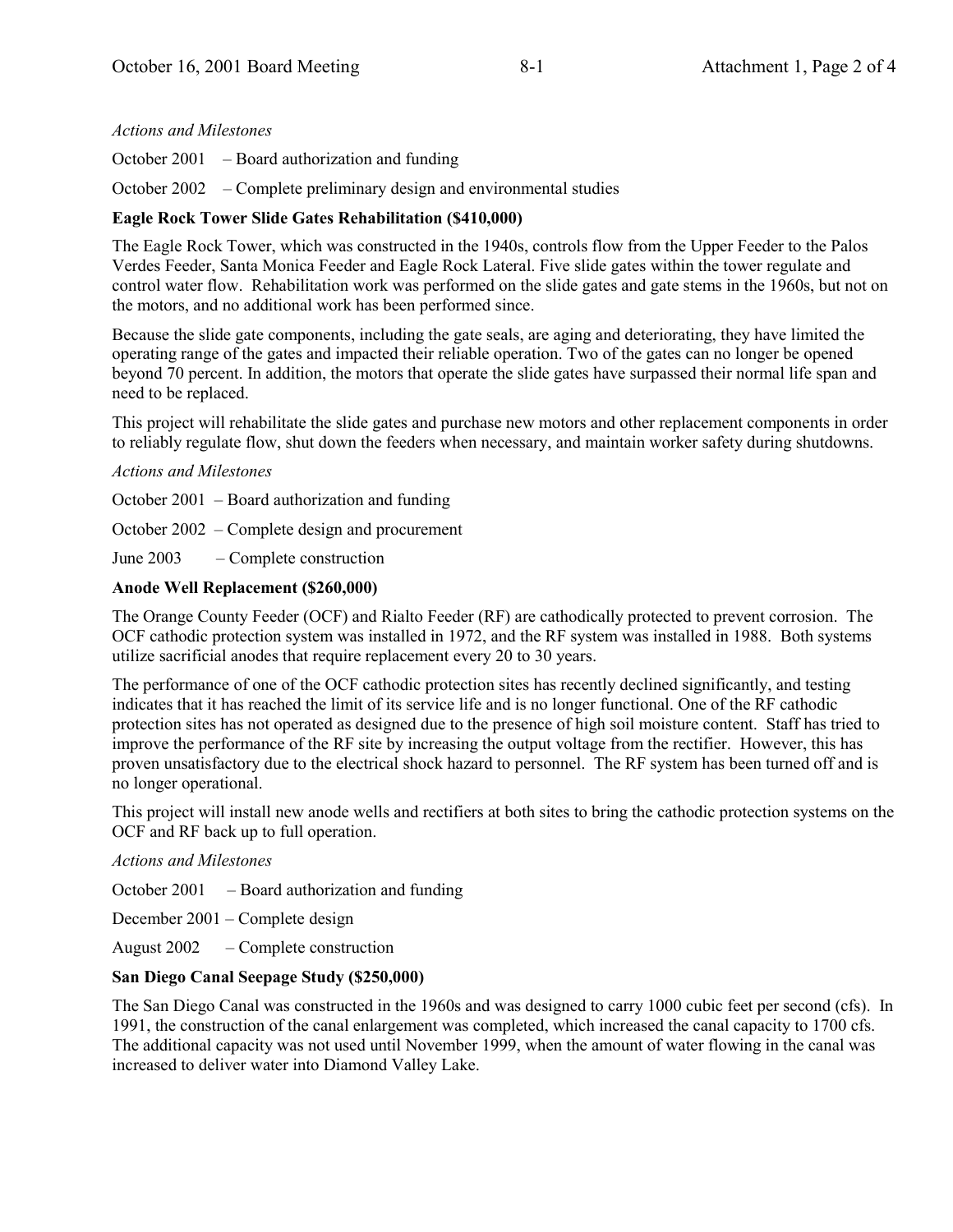# *Actions and Milestones*

October 2001  $\overline{\phantom{a}}$  – Board authorization and funding

October  $2002 - Complete preliminary design and environmental studies$ 

# **Eagle Rock Tower Slide Gates Rehabilitation (\$410,000)**

The Eagle Rock Tower, which was constructed in the 1940s, controls flow from the Upper Feeder to the Palos Verdes Feeder, Santa Monica Feeder and Eagle Rock Lateral. Five slide gates within the tower regulate and control water flow. Rehabilitation work was performed on the slide gates and gate stems in the 1960s, but not on the motors, and no additional work has been performed since.

Because the slide gate components, including the gate seals, are aging and deteriorating, they have limited the operating range of the gates and impacted their reliable operation. Two of the gates can no longer be opened beyond 70 percent. In addition, the motors that operate the slide gates have surpassed their normal life span and need to be replaced.

This project will rehabilitate the slide gates and purchase new motors and other replacement components in order to reliably regulate flow, shut down the feeders when necessary, and maintain worker safety during shutdowns.

### *Actions and Milestones*

October  $2001$  – Board authorization and funding

October  $2002$  – Complete design and procurement

June  $2003 -$ Complete construction

### **Anode Well Replacement (\$260,000)**

The Orange County Feeder (OCF) and Rialto Feeder (RF) are cathodically protected to prevent corrosion. The OCF cathodic protection system was installed in 1972, and the RF system was installed in 1988. Both systems utilize sacrificial anodes that require replacement every 20 to 30 years.

The performance of one of the OCF cathodic protection sites has recently declined significantly, and testing indicates that it has reached the limit of its service life and is no longer functional. One of the RF cathodic protection sites has not operated as designed due to the presence of high soil moisture content. Staff has tried to improve the performance of the RF site by increasing the output voltage from the rectifier. However, this has proven unsatisfactory due to the electrical shock hazard to personnel. The RF system has been turned off and is no longer operational.

This project will install new anode wells and rectifiers at both sites to bring the cathodic protection systems on the OCF and RF back up to full operation.

*Actions and Milestones*

October 2001  $\overline{\phantom{a}}$  – Board authorization and funding

December  $2001$  – Complete design

August  $2002 - Complete construction$ 

# **San Diego Canal Seepage Study (\$250,000)**

The San Diego Canal was constructed in the 1960s and was designed to carry 1000 cubic feet per second (cfs). In 1991, the construction of the canal enlargement was completed, which increased the canal capacity to 1700 cfs. The additional capacity was not used until November 1999, when the amount of water flowing in the canal was increased to deliver water into Diamond Valley Lake.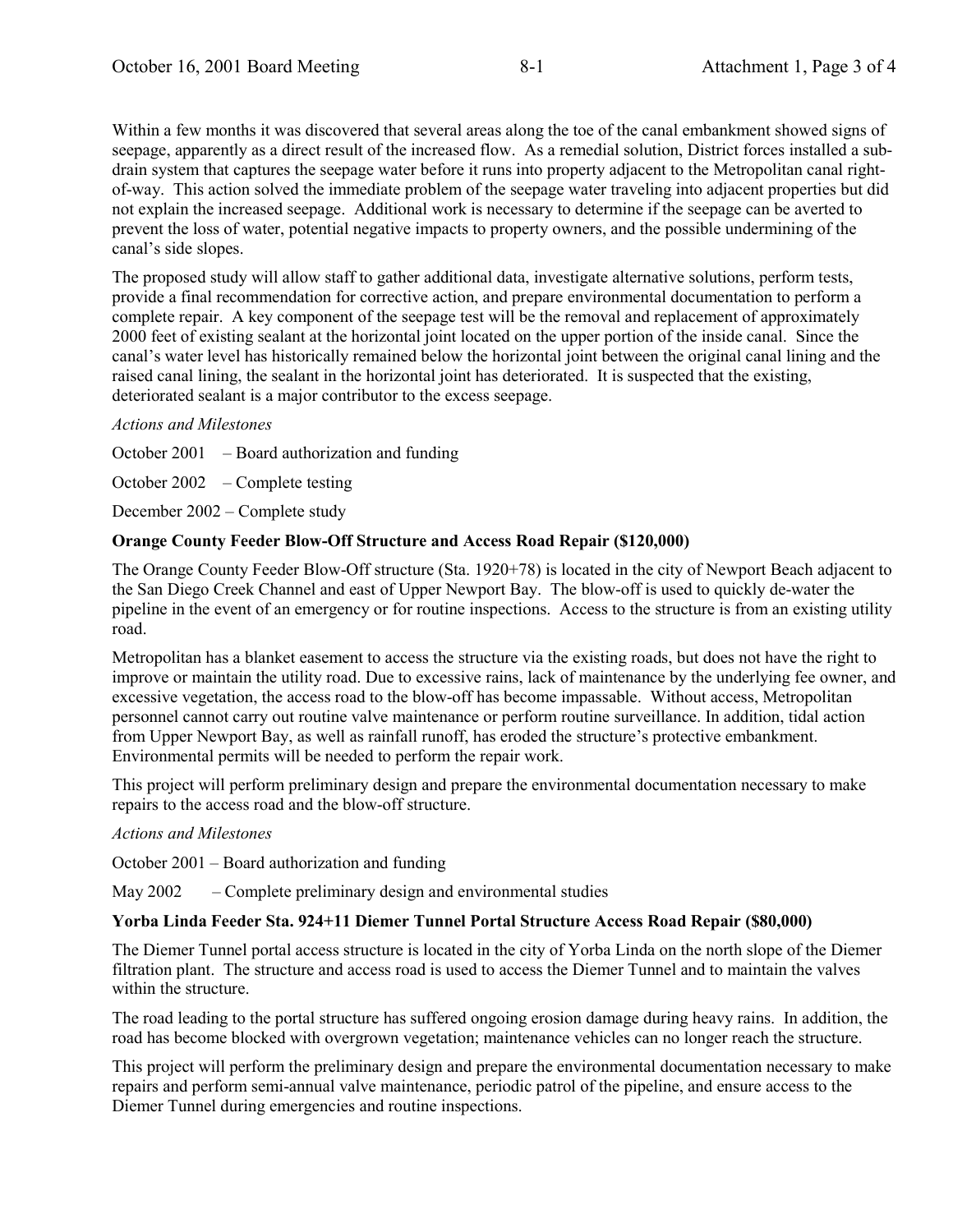Within a few months it was discovered that several areas along the toe of the canal embankment showed signs of seepage, apparently as a direct result of the increased flow. As a remedial solution, District forces installed a subdrain system that captures the seepage water before it runs into property adjacent to the Metropolitan canal rightof-way. This action solved the immediate problem of the seepage water traveling into adjacent properties but did not explain the increased seepage. Additional work is necessary to determine if the seepage can be averted to prevent the loss of water, potential negative impacts to property owners, and the possible undermining of the canal's side slopes.

The proposed study will allow staff to gather additional data, investigate alternative solutions, perform tests, provide a final recommendation for corrective action, and prepare environmental documentation to perform a complete repair. A key component of the seepage test will be the removal and replacement of approximately 2000 feet of existing sealant at the horizontal joint located on the upper portion of the inside canal. Since the canal's water level has historically remained below the horizontal joint between the original canal lining and the raised canal lining, the sealant in the horizontal joint has deteriorated. It is suspected that the existing, deteriorated sealant is a major contributor to the excess seepage.

### *Actions and Milestones*

October 2001  $\overline{\phantom{a}}$  – Board authorization and funding

October  $2002 - Complete testing$ 

December  $2002$  – Complete study

### **Orange County Feeder Blow-Off Structure and Access Road Repair (\$120,000)**

The Orange County Feeder Blow-Off structure (Sta. 1920+78) is located in the city of Newport Beach adjacent to the San Diego Creek Channel and east of Upper Newport Bay. The blow-off is used to quickly de-water the pipeline in the event of an emergency or for routine inspections. Access to the structure is from an existing utility road.

Metropolitan has a blanket easement to access the structure via the existing roads, but does not have the right to improve or maintain the utility road. Due to excessive rains, lack of maintenance by the underlying fee owner, and excessive vegetation, the access road to the blow-off has become impassable. Without access, Metropolitan personnel cannot carry out routine valve maintenance or perform routine surveillance. In addition, tidal action from Upper Newport Bay, as well as rainfall runoff, has eroded the structure's protective embankment. Environmental permits will be needed to perform the repair work.

This project will perform preliminary design and prepare the environmental documentation necessary to make repairs to the access road and the blow-off structure.

#### *Actions and Milestones*

October  $2001$  – Board authorization and funding

May  $2002 -$  Complete preliminary design and environmental studies

#### **Yorba Linda Feeder Sta. 924+11 Diemer Tunnel Portal Structure Access Road Repair (\$80,000)**

The Diemer Tunnel portal access structure is located in the city of Yorba Linda on the north slope of the Diemer filtration plant. The structure and access road is used to access the Diemer Tunnel and to maintain the valves within the structure.

The road leading to the portal structure has suffered ongoing erosion damage during heavy rains. In addition, the road has become blocked with overgrown vegetation; maintenance vehicles can no longer reach the structure.

This project will perform the preliminary design and prepare the environmental documentation necessary to make repairs and perform semi-annual valve maintenance, periodic patrol of the pipeline, and ensure access to the Diemer Tunnel during emergencies and routine inspections.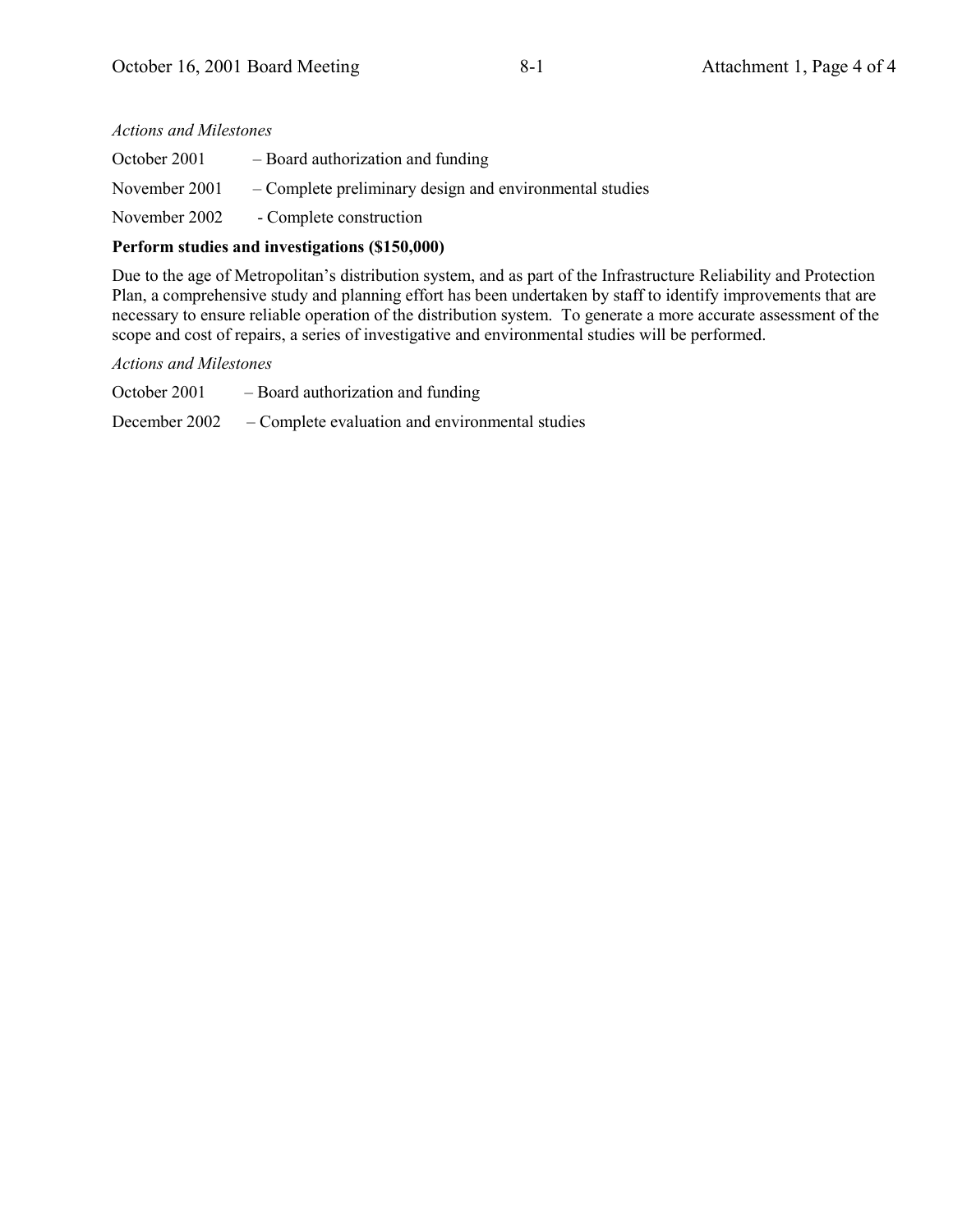| <b>Actions and Milestones</b> |                                                         |  |  |  |  |
|-------------------------------|---------------------------------------------------------|--|--|--|--|
| October 2001                  | - Board authorization and funding                       |  |  |  |  |
| November 2001                 | – Complete preliminary design and environmental studies |  |  |  |  |
| November 2002                 | - Complete construction                                 |  |  |  |  |

### **Perform studies and investigations (\$150,000)**

Due to the age of Metropolitan's distribution system, and as part of the Infrastructure Reliability and Protection Plan, a comprehensive study and planning effort has been undertaken by staff to identify improvements that are necessary to ensure reliable operation of the distribution system. To generate a more accurate assessment of the scope and cost of repairs, a series of investigative and environmental studies will be performed.

#### *Actions and Milestones*

October 2001  $-$  Board authorization and funding December 2002 – Complete evaluation and environmental studies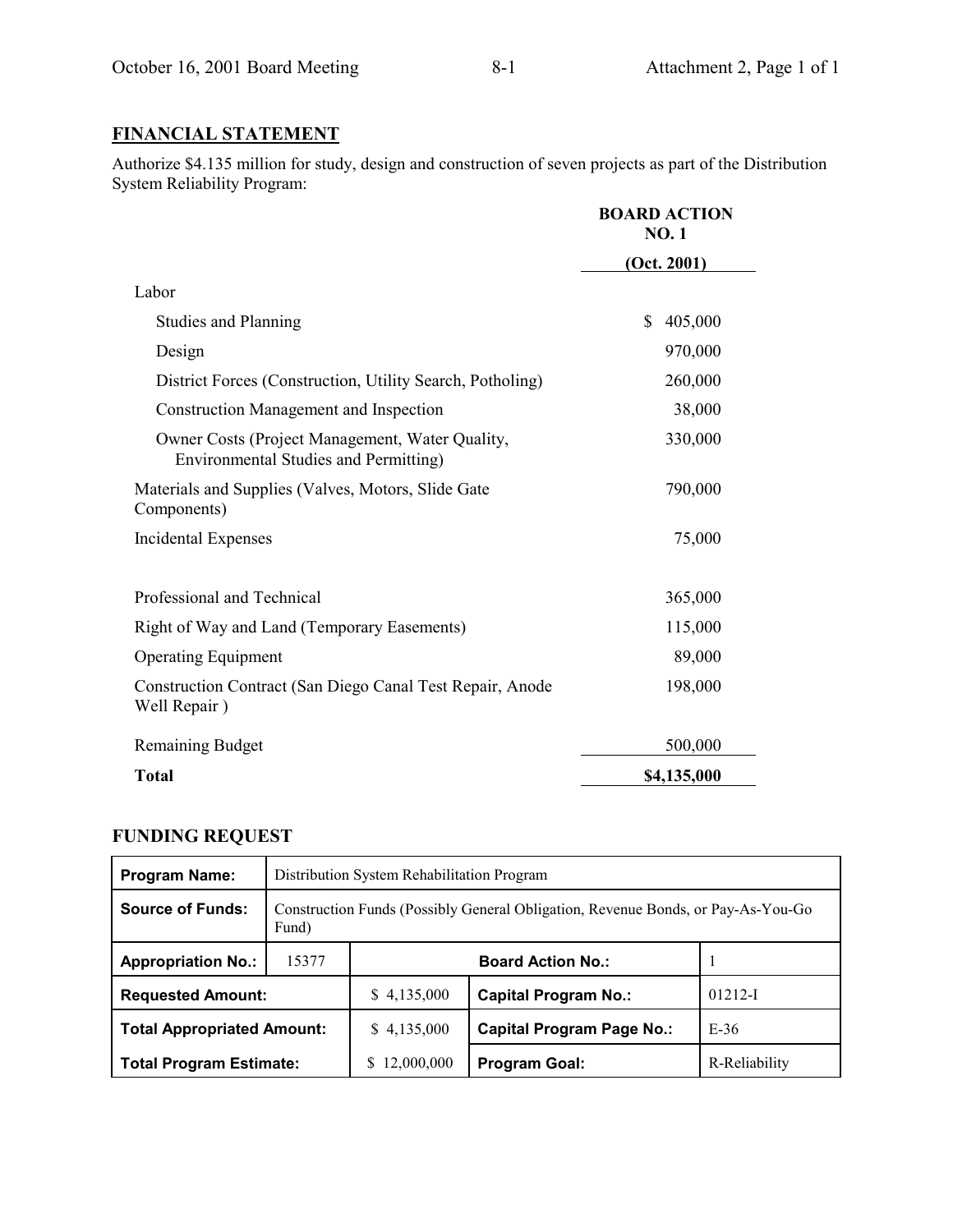# **FINANCIAL STATEMENT**

Authorize \$4.135 million for study, design and construction of seven projects as part of the Distribution System Reliability Program:

|                                                                                                 | <b>BOARD ACTION</b><br><b>NO.1</b> |  |
|-------------------------------------------------------------------------------------------------|------------------------------------|--|
|                                                                                                 | (Oct. 2001)                        |  |
| Labor                                                                                           |                                    |  |
| <b>Studies and Planning</b>                                                                     | 405,000<br>\$                      |  |
| Design                                                                                          | 970,000                            |  |
| District Forces (Construction, Utility Search, Potholing)                                       | 260,000                            |  |
| Construction Management and Inspection                                                          | 38,000                             |  |
| Owner Costs (Project Management, Water Quality,<br><b>Environmental Studies and Permitting)</b> | 330,000                            |  |
| Materials and Supplies (Valves, Motors, Slide Gate<br>Components)                               | 790,000                            |  |
| Incidental Expenses                                                                             | 75,000                             |  |
| Professional and Technical                                                                      | 365,000                            |  |
| Right of Way and Land (Temporary Easements)                                                     | 115,000                            |  |
| <b>Operating Equipment</b>                                                                      | 89,000                             |  |
| Construction Contract (San Diego Canal Test Repair, Anode<br>Well Repair)                       | 198,000                            |  |
| <b>Remaining Budget</b>                                                                         | 500,000                            |  |
| <b>Total</b>                                                                                    | \$4,135,000                        |  |

# **FUNDING REQUEST**

| <b>Program Name:</b>              | Distribution System Rehabilitation Program                                                |                          |                                  |               |  |  |
|-----------------------------------|-------------------------------------------------------------------------------------------|--------------------------|----------------------------------|---------------|--|--|
| <b>Source of Funds:</b>           | Construction Funds (Possibly General Obligation, Revenue Bonds, or Pay-As-You-Go<br>Fund) |                          |                                  |               |  |  |
| <b>Appropriation No.:</b>         | 15377                                                                                     | <b>Board Action No.:</b> |                                  |               |  |  |
| <b>Requested Amount:</b>          |                                                                                           | \$4,135,000              | <b>Capital Program No.:</b>      | $01212 - I$   |  |  |
| <b>Total Appropriated Amount:</b> |                                                                                           | \$4,135,000              | <b>Capital Program Page No.:</b> | $E-36$        |  |  |
| <b>Total Program Estimate:</b>    |                                                                                           | 12,000,000<br>S          | Program Goal:                    | R-Reliability |  |  |